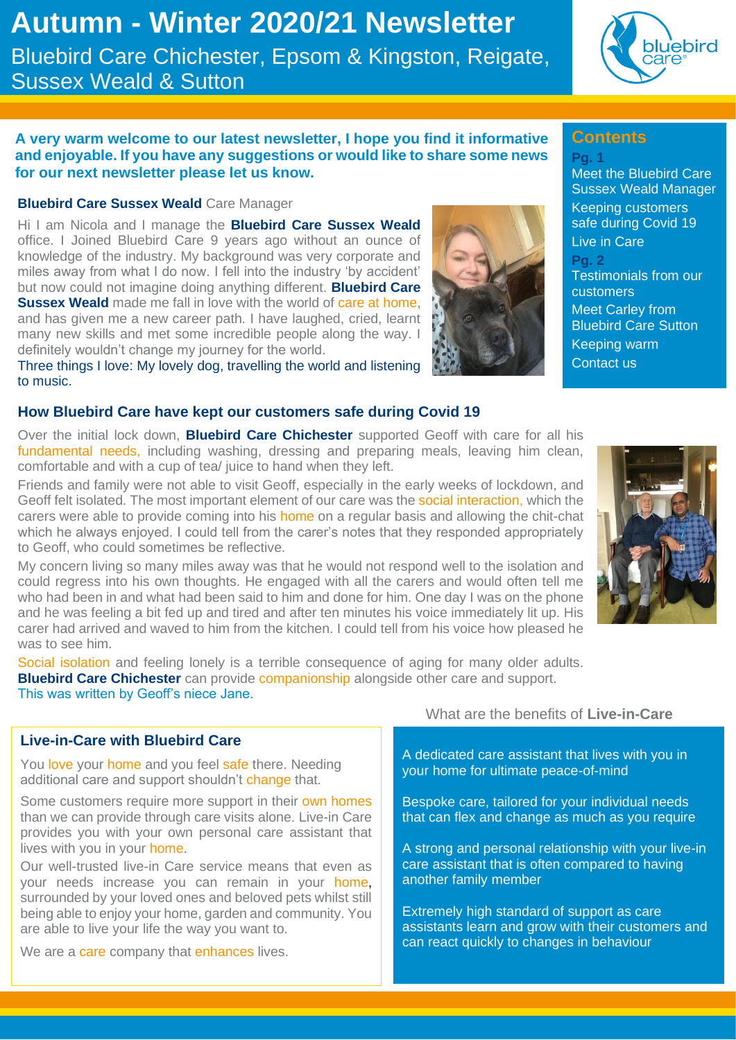# **Autumn - Winter 2020/21 Newsletter** Bluebird Care Chichester, Epsom & Kingston, Reigate, Sussex Weald & Sutton

# bluebird

Meet the Bluebird Care Sussex Weald Manager Keeping customers safe during Covid 19

Testimonials from our

Meet Carley from Bluebird Care Sutton

Keeping warm Contact us

**Contents**

Live in Care

customers

**Pg. 1**

**Pg. 2**

#### **A very warm welcome to our latest newsletter, I hope you find it informative and enjoyable. If you have any suggestions or would like to share some news for our next newsletter please let us know.**

#### **Bluebird Care Sussex Weald** Care Manager

Hi I am Nicola and I manage the **Bluebird Care Sussex Weald** office. I Joined Bluebird Care 9 years ago without an ounce of knowledge of the industry. My background was very corporate and miles away from what I do now. I fell into the industry 'by accident' but now could not imagine doing anything different. **Bluebird Care Sussex Weald** made me fall in love with the world of care at home, and has given me a new career path. I have laughed, cried, learnt many new skills and met some incredible people along the way. I definitely wouldn't change my journey for the world.

Three things I love: My lovely dog, travelling the world and listening to music.

#### **How Bluebird Care have kept our customers safe during Covid 19**

Over the initial lock down, **Bluebird Care Chichester** supported Geoff with care for all his fundamental needs, including washing, dressing and preparing meals, leaving him clean, comfortable and with a cup of tea/ juice to hand when they left.

Friends and family were not able to visit Geoff, especially in the early weeks of lockdown, and Geoff felt isolated. The most important element of our care was the social interaction, which the carers were able to provide coming into his home on a regular basis and allowing the chit-chat which he always enjoyed. I could tell from the carer's notes that they responded appropriately to Geoff, who could sometimes be reflective.

My concern living so many miles away was that he would not respond well to the isolation and could regress into his own thoughts. He engaged with all the carers and would often tell me who had been in and what had been said to him and done for him. One day I was on the phone and he was feeling a bit fed up and tired and after ten minutes his voice immediately lit up. His carer had arrived and waved to him from the kitchen. I could tell from his voice how pleased he was to see him.

Social isolation and feeling lonely is a terrible consequence of aging for many older adults. **Bluebird Care Chichester** can provide companionship alongside other care and support. This was written by Geoff's niece Jane.

#### **Live-in-Care with Bluebird Care**

You love your home and you feel safe there. Needing additional care and support shouldn't change that.

Some customers require more support in their own homes than we can provide through care visits alone. Live-in Care provides you with your own personal care assistant that lives with you in your home.

Our well-trusted live-in Care service means that even as your needs increase you can remain in your home, surrounded by your loved ones and beloved pets whilst still being able to enjoy your home, garden and community. You are able to live your life the way you want to.

We are a care company that enhances lives.

What are the benefits of **Live-in-Care**

A dedicated care assistant that lives with you in your home for ultimate peace-of-mind

Bespoke care, tailored for your individual needs that can flex and change as much as you require

A strong and personal relationship with your live-in care assistant that is often compared to having another family member

Extremely high standard of support as care assistants learn and grow with their customers and can react quickly to changes in behaviour